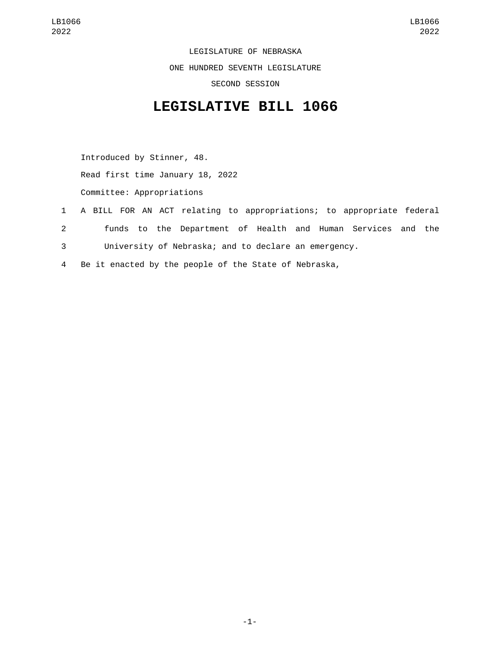LEGISLATURE OF NEBRASKA ONE HUNDRED SEVENTH LEGISLATURE SECOND SESSION

## **LEGISLATIVE BILL 1066**

Introduced by Stinner, 48. Read first time January 18, 2022 Committee: Appropriations

- 1 A BILL FOR AN ACT relating to appropriations; to appropriate federal 2 funds to the Department of Health and Human Services and the 3 University of Nebraska; and to declare an emergency.
- 4 Be it enacted by the people of the State of Nebraska,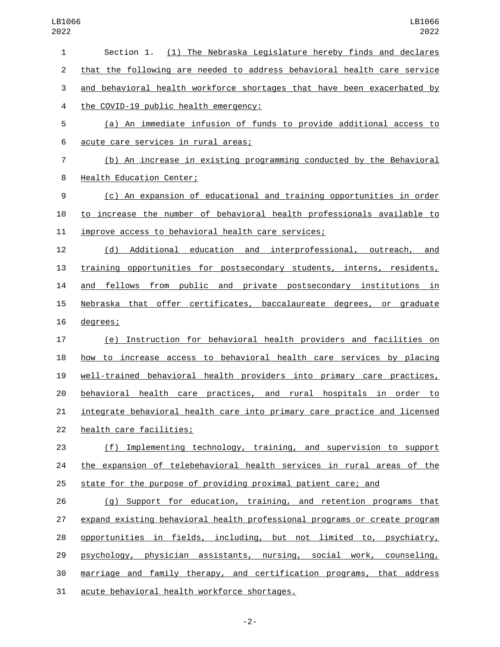| 1              | Section 1. (1) The Nebraska Legislature hereby finds and declares         |
|----------------|---------------------------------------------------------------------------|
| $\overline{2}$ | that the following are needed to address behavioral health care service   |
| 3              | and behavioral health workforce shortages that have been exacerbated by   |
| 4              | the COVID-19 public health emergency:                                     |
| 5              | (a) An immediate infusion of funds to provide additional access to        |
| 6              | acute care services in rural areas;                                       |
| $\overline{7}$ | (b) An increase in existing programming conducted by the Behavioral       |
| 8              | Health Education Center;                                                  |
| 9              | (c) An expansion of educational and training opportunities in order       |
| 10             | to increase the number of behavioral health professionals available to    |
| 11             | improve access to behavioral health care services;                        |
| 12             | (d) Additional education and interprofessional, outreach, and             |
| 13             | training opportunities for postsecondary students, interns, residents,    |
| 14             | and fellows from public and private postsecondary institutions in         |
| 15             | Nebraska that offer certificates, baccalaureate degrees, or graduate      |
| 16             | degrees;                                                                  |
| 17             | (e) Instruction for behavioral health providers and facilities on         |
| 18             | how to increase access to behavioral health care services by placing      |
| 19             | well-trained behavioral health providers into primary care practices,     |
| 20             | behavioral health care practices, and rural hospitals in order to         |
| 21             | integrate behavioral health care into primary care practice and licensed  |
| 22             | health care facilities;                                                   |
| 23             | (f) Implementing technology, training, and supervision to support         |
| 24             | the expansion of telebehavioral health services in rural areas of the     |
| 25             | state for the purpose of providing proximal patient care; and             |
| 26             | (g) Support for education, training, and retention programs that          |
| 27             | expand existing behavioral health professional programs or create program |
| 28             | opportunities in fields, including, but not limited to, psychiatry,       |
| 29             | psychology, physician assistants, nursing, social work, counseling,       |
| 30             | marriage and family therapy, and certification programs, that address     |
| 31             | acute behavioral health workforce shortages.                              |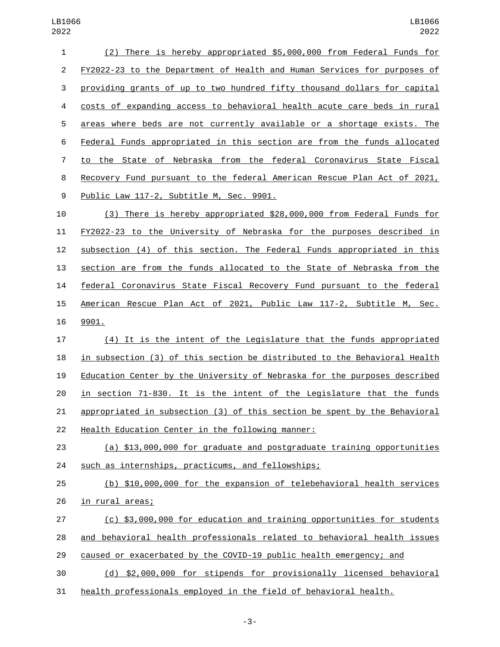| $\mathbf{1}$   | (2) There is hereby appropriated \$5,000,000 from Federal Funds for       |
|----------------|---------------------------------------------------------------------------|
| $\overline{2}$ | FY2022-23 to the Department of Health and Human Services for purposes of  |
| 3              | providing grants of up to two hundred fifty thousand dollars for capital  |
| 4              | costs of expanding access to behavioral health acute care beds in rural   |
| 5              | areas where beds are not currently available or a shortage exists. The    |
| 6              | Federal Funds appropriated in this section are from the funds allocated   |
| 7              | to the State of Nebraska from the federal Coronavirus State Fiscal        |
| 8              | Recovery Fund pursuant to the federal American Rescue Plan Act of 2021,   |
| 9              | Public Law 117-2, Subtitle M, Sec. 9901.                                  |
| 10             | (3) There is hereby appropriated \$28,000,000 from Federal Funds for      |
| 11             | FY2022-23 to the University of Nebraska for the purposes described in     |
| 12             | subsection (4) of this section. The Federal Funds appropriated in this    |
| 13             | section are from the funds allocated to the State of Nebraska from the    |
| 14             | federal Coronavirus State Fiscal Recovery Fund pursuant to the federal    |
| 15             | American Rescue Plan Act of 2021, Public Law 117-2, Subtitle M, Sec.      |
| 16             | 9901.                                                                     |
| 17             | (4) It is the intent of the Legislature that the funds appropriated       |
| 18             | in subsection (3) of this section be distributed to the Behavioral Health |
| 19             | Education Center by the University of Nebraska for the purposes described |
| 20             | in section 71-830. It is the intent of the Legislature that the funds     |
| 21             | appropriated in subsection (3) of this section be spent by the Behavioral |
| 22             | Health Education Center in the following manner:                          |
| 23             | (a) \$13,000,000 for graduate and postgraduate training opportunities     |
| 24             | such as internships, practicums, and fellowships;                         |
| 25             | (b) \$10,000,000 for the expansion of telebehavioral health services      |
| 26             | in rural areas;                                                           |
| 27             | (c) \$3,000,000 for education and training opportunities for students     |
| 28             | and behavioral health professionals related to behavioral health issues   |
| 29             | caused or exacerbated by the COVID-19 public health emergency; and        |
| 30             | (d) \$2,000,000 for stipends for provisionally licensed behavioral        |

health professionals employed in the field of behavioral health.